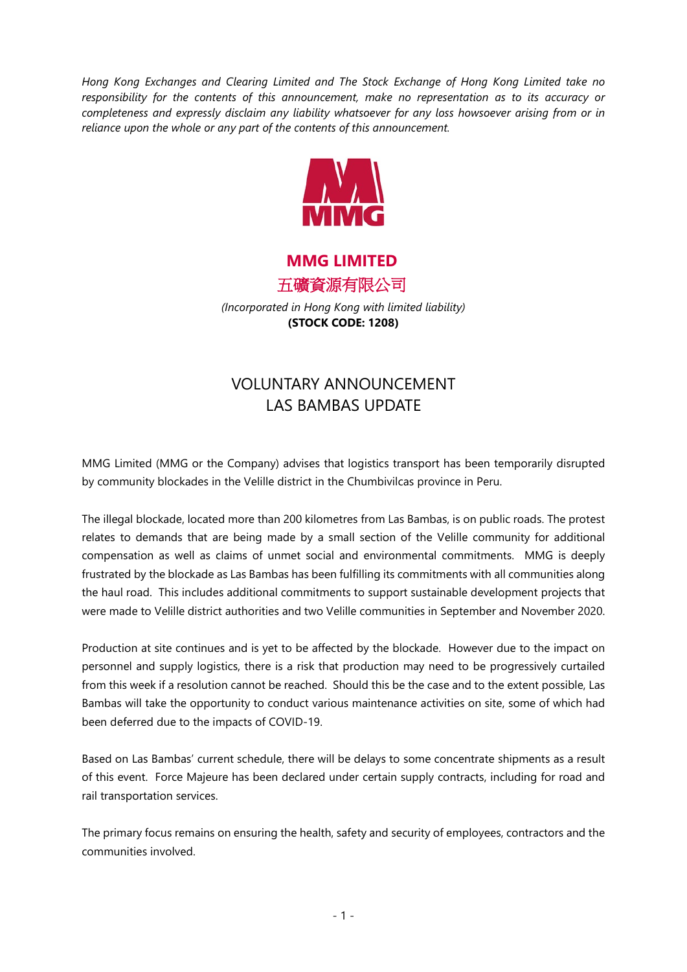*Hong Kong Exchanges and Clearing Limited and The Stock Exchange of Hong Kong Limited take no responsibility for the contents of this announcement, make no representation as to its accuracy or completeness and expressly disclaim any liability whatsoever for any loss howsoever arising from or in reliance upon the whole or any part of the contents of this announcement.*



**MMG LIMITED** 五礦資源有限公司

*(Incorporated in Hong Kong with limited liability)* **(STOCK CODE: 1208)**

## VOLUNTARY ANNOUNCEMENT LAS BAMBAS UPDATE

MMG Limited (MMG or the Company) advises that logistics transport has been temporarily disrupted by community blockades in the Velille district in the Chumbivilcas province in Peru.

The illegal blockade, located more than 200 kilometres from Las Bambas, is on public roads. The protest relates to demands that are being made by a small section of the Velille community for additional compensation as well as claims of unmet social and environmental commitments. MMG is deeply frustrated by the blockade as Las Bambas has been fulfilling its commitments with all communities along the haul road. This includes additional commitments to support sustainable development projects that were made to Velille district authorities and two Velille communities in September and November 2020.

Production at site continues and is yet to be affected by the blockade. However due to the impact on personnel and supply logistics, there is a risk that production may need to be progressively curtailed from this week if a resolution cannot be reached. Should this be the case and to the extent possible, Las Bambas will take the opportunity to conduct various maintenance activities on site, some of which had been deferred due to the impacts of COVID-19.

Based on Las Bambas' current schedule, there will be delays to some concentrate shipments as a result of this event. Force Majeure has been declared under certain supply contracts, including for road and rail transportation services.

The primary focus remains on ensuring the health, safety and security of employees, contractors and the communities involved.